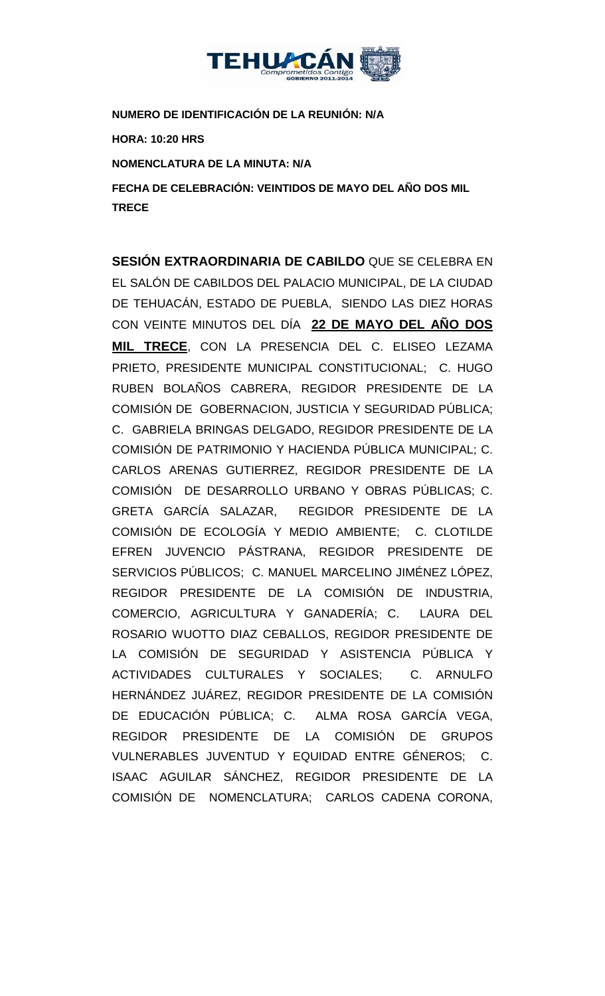

**NUMERO DE IDENTIFICACIÓN DE LA REUNIÓN: N/A**

**HORA: 10:20 HRS**

**NOMENCLATURA DE LA MINUTA: N/A**

**FECHA DE CELEBRACIÓN: VEINTIDOS DE MAYO DEL AÑO DOS MIL TRECE** 

**SESIÓN EXTRAORDINARIA DE CABILDO** QUE SE CELEBRA EN EL SALÓN DE CABILDOS DEL PALACIO MUNICIPAL, DE LA CIUDAD DE TEHUACÁN, ESTADO DE PUEBLA, SIENDO LAS DIEZ HORAS CON VEINTE MINUTOS DEL DÍA **22 DE MAYO DEL AÑO DOS MIL TRECE**, CON LA PRESENCIA DEL C. ELISEO LEZAMA PRIETO, PRESIDENTE MUNICIPAL CONSTITUCIONAL; C. HUGO RUBEN BOLAÑOS CABRERA, REGIDOR PRESIDENTE DE LA COMISIÓN DE GOBERNACION, JUSTICIA Y SEGURIDAD PÚBLICA; C. GABRIELA BRINGAS DELGADO, REGIDOR PRESIDENTE DE LA COMISIÓN DE PATRIMONIO Y HACIENDA PÚBLICA MUNICIPAL; C. CARLOS ARENAS GUTIERREZ, REGIDOR PRESIDENTE DE LA COMISIÓN DE DESARROLLO URBANO Y OBRAS PÚBLICAS; C. GRETA GARCÍA SALAZAR, REGIDOR PRESIDENTE DE LA COMISIÓN DE ECOLOGÍA Y MEDIO AMBIENTE; C. CLOTILDE EFREN JUVENCIO PÁSTRANA, REGIDOR PRESIDENTE DE SERVICIOS PÚBLICOS; C. MANUEL MARCELINO JIMÉNEZ LÓPEZ, REGIDOR PRESIDENTE DE LA COMISIÓN DE INDUSTRIA, COMERCIO, AGRICULTURA Y GANADERÍA; C. LAURA DEL ROSARIO WUOTTO DIAZ CEBALLOS, REGIDOR PRESIDENTE DE LA COMISIÓN DE SEGURIDAD Y ASISTENCIA PÚBLICA Y ACTIVIDADES CULTURALES Y SOCIALES; C. ARNULFO HERNÁNDEZ JUÁREZ, REGIDOR PRESIDENTE DE LA COMISIÓN DE EDUCACIÓN PÚBLICA; C. ALMA ROSA GARCÍA VEGA, REGIDOR PRESIDENTE DE LA COMISIÓN DE GRUPOS VULNERABLES JUVENTUD Y EQUIDAD ENTRE GÉNEROS; C. ISAAC AGUILAR SÁNCHEZ, REGIDOR PRESIDENTE DE LA COMISIÓN DE NOMENCLATURA; CARLOS CADENA CORONA,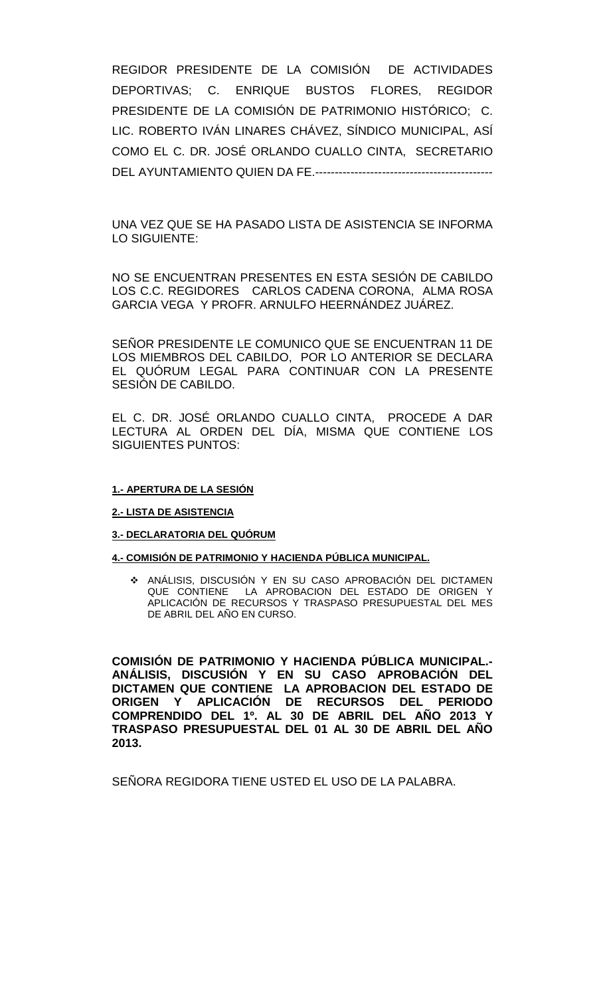REGIDOR PRESIDENTE DE LA COMISIÓN DE ACTIVIDADES DEPORTIVAS; C. ENRIQUE BUSTOS FLORES, REGIDOR PRESIDENTE DE LA COMISIÓN DE PATRIMONIO HISTÓRICO; C. LIC. ROBERTO IVÁN LINARES CHÁVEZ, SÍNDICO MUNICIPAL, ASÍ COMO EL C. DR. JOSÉ ORLANDO CUALLO CINTA, SECRETARIO DEL AYUNTAMIENTO QUIEN DA FE.---------------------------------------------

UNA VEZ QUE SE HA PASADO LISTA DE ASISTENCIA SE INFORMA LO SIGUIENTE:

NO SE ENCUENTRAN PRESENTES EN ESTA SESIÓN DE CABILDO LOS C.C. REGIDORES CARLOS CADENA CORONA, ALMA ROSA GARCIA VEGA Y PROFR. ARNULFO HEERNÁNDEZ JUÁREZ.

SEÑOR PRESIDENTE LE COMUNICO QUE SE ENCUENTRAN 11 DE LOS MIEMBROS DEL CABILDO, POR LO ANTERIOR SE DECLARA EL QUÓRUM LEGAL PARA CONTINUAR CON LA PRESENTE SESIÓN DE CABILDO.

EL C. DR. JOSÉ ORLANDO CUALLO CINTA, PROCEDE A DAR LECTURA AL ORDEN DEL DÍA, MISMA QUE CONTIENE LOS SIGUIENTES PUNTOS:

#### **1.- APERTURA DE LA SESIÓN**

#### **2.- LISTA DE ASISTENCIA**

#### **3.- DECLARATORIA DEL QUÓRUM**

### **4.- COMISIÓN DE PATRIMONIO Y HACIENDA PÚBLICA MUNICIPAL.**

 ANÁLISIS, DISCUSIÓN Y EN SU CASO APROBACIÓN DEL DICTAMEN QUE CONTIENE LA APROBACION DEL ESTADO DE ORIGEN Y APLICACIÓN DE RECURSOS Y TRASPASO PRESUPUESTAL DEL MES DE ABRIL DEL AÑO EN CURSO.

**COMISIÓN DE PATRIMONIO Y HACIENDA PÚBLICA MUNICIPAL.- ANÁLISIS, DISCUSIÓN Y EN SU CASO APROBACIÓN DEL DICTAMEN QUE CONTIENE LA APROBACION DEL ESTADO DE ORIGEN Y APLICACIÓN DE RECURSOS DEL PERIODO COMPRENDIDO DEL 1º. AL 30 DE ABRIL DEL AÑO 2013 Y TRASPASO PRESUPUESTAL DEL 01 AL 30 DE ABRIL DEL AÑO 2013.**

SEÑORA REGIDORA TIENE USTED EL USO DE LA PALABRA.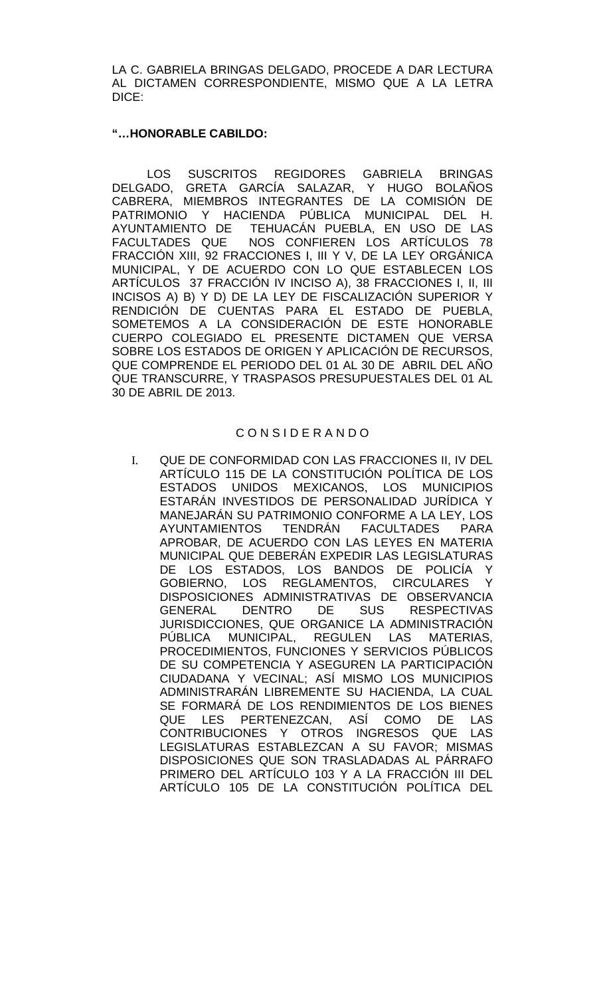LA C. GABRIELA BRINGAS DELGADO, PROCEDE A DAR LECTURA AL DICTAMEN CORRESPONDIENTE, MISMO QUE A LA LETRA DICE:

## **"…HONORABLE CABILDO:**

LOS SUSCRITOS REGIDORES GABRIELA BRINGAS DELGADO, GRETA GARCÍA SALAZAR, Y HUGO BOLAÑOS CABRERA, MIEMBROS INTEGRANTES DE LA COMISIÓN DE PATRIMONIO Y HACIENDA PÚBLICA MUNICIPAL DEL H. AYUNTAMIENTO DE TEHUACÁN PUEBLA, EN USO DE LAS<br>FACULTADES QUE NOS CONFIEREN LOS ARTÍCULOS 78 NOS CONFIEREN LOS ARTÍCULOS 78 FRACCIÓN XIII, 92 FRACCIONES I, III Y V, DE LA LEY ORGÁNICA MUNICIPAL, Y DE ACUERDO CON LO QUE ESTABLECEN LOS ARTÍCULOS 37 FRACCIÓN IV INCISO A), 38 FRACCIONES I, II, III INCISOS A) B) Y D) DE LA LEY DE FISCALIZACIÓN SUPERIOR Y RENDICIÓN DE CUENTAS PARA EL ESTADO DE PUEBLA, SOMETEMOS A LA CONSIDERACIÓN DE ESTE HONORABLE CUERPO COLEGIADO EL PRESENTE DICTAMEN QUE VERSA SOBRE LOS ESTADOS DE ORIGEN Y APLICACIÓN DE RECURSOS, QUE COMPRENDE EL PERIODO DEL 01 AL 30 DE ABRIL DEL AÑO QUE TRANSCURRE, Y TRASPASOS PRESUPUESTALES DEL 01 AL 30 DE ABRIL DE 2013.

## C O N S I D E R A N D O

I. QUE DE CONFORMIDAD CON LAS FRACCIONES II, IV DEL ARTÍCULO 115 DE LA CONSTITUCIÓN POLÍTICA DE LOS ESTADOS UNIDOS MEXICANOS, LOS MUNICIPIOS ESTARÁN INVESTIDOS DE PERSONALIDAD JURÍDICA Y MANEJARÁN SU PATRIMONIO CONFORME A LA LEY, LOS AYUNTAMIENTOS TENDRÁN FACULTADES PARA APROBAR, DE ACUERDO CON LAS LEYES EN MATERIA MUNICIPAL QUE DEBERÁN EXPEDIR LAS LEGISLATURAS DE LOS ESTADOS, LOS BANDOS DE POLICÍA Y GOBIERNO, LOS REGLAMENTOS, CIRCULARES Y DISPOSICIONES ADMINISTRATIVAS DE OBSERVANCIA GENERAL DENTRO DE SUS RESPECTIVAS JURISDICCIONES, QUE ORGANICE LA ADMINISTRACIÓN PÚBLICA MUNICIPAL, REGULEN LAS MATERIAS, PROCEDIMIENTOS, FUNCIONES Y SERVICIOS PÚBLICOS DE SU COMPETENCIA Y ASEGUREN LA PARTICIPACIÓN CIUDADANA Y VECINAL; ASÍ MISMO LOS MUNICIPIOS ADMINISTRARÁN LIBREMENTE SU HACIENDA, LA CUAL SE FORMARÁ DE LOS RENDIMIENTOS DE LOS BIENES QUE LES PERTENEZCAN, ASÍ COMO DE LAS CONTRIBUCIONES Y OTROS INGRESOS QUE LAS LEGISLATURAS ESTABLEZCAN A SU FAVOR; MISMAS DISPOSICIONES QUE SON TRASLADADAS AL PÁRRAFO PRIMERO DEL ARTÍCULO 103 Y A LA FRACCIÓN III DEL ARTÍCULO 105 DE LA CONSTITUCIÓN POLÍTICA DEL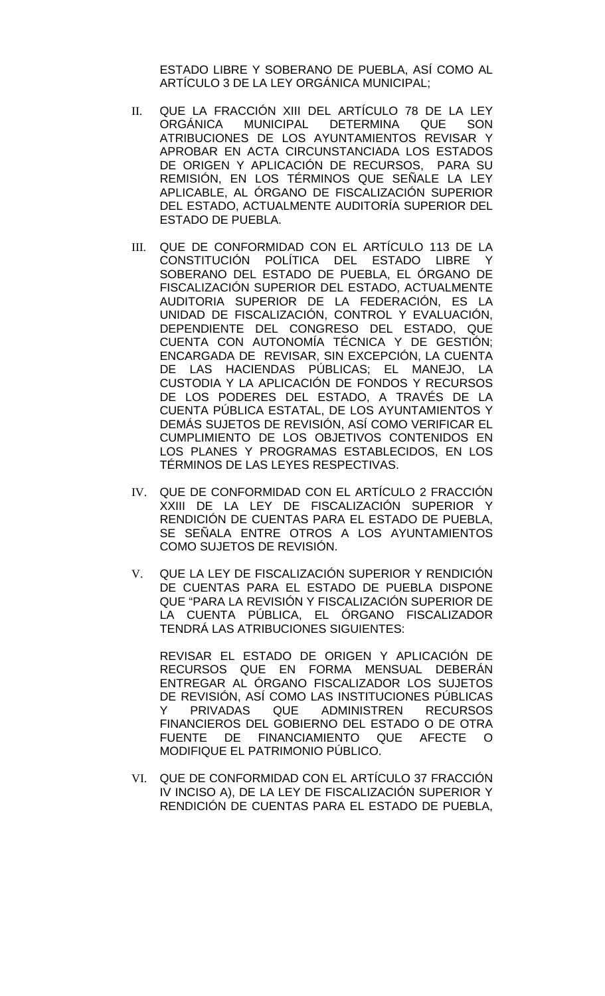ESTADO LIBRE Y SOBERANO DE PUEBLA, ASÍ COMO AL ARTÍCULO 3 DE LA LEY ORGÁNICA MUNICIPAL;

- II. QUE LA FRACCIÓN XIII DEL ARTÍCULO 78 DE LA LEY<br>ORGÁNICA MUNICIPAL DETERMINA QUE SON DETERMINA QUE SON ATRIBUCIONES DE LOS AYUNTAMIENTOS REVISAR Y APROBAR EN ACTA CIRCUNSTANCIADA LOS ESTADOS DE ORIGEN Y APLICACIÓN DE RECURSOS, PARA SU REMISIÓN, EN LOS TÉRMINOS QUE SEÑALE LA LEY APLICABLE, AL ÓRGANO DE FISCALIZACIÓN SUPERIOR DEL ESTADO, ACTUALMENTE AUDITORÍA SUPERIOR DEL ESTADO DE PUEBLA.
- III. QUE DE CONFORMIDAD CON EL ARTÍCULO 113 DE LA CONSTITUCIÓN POLÍTICA DEL ESTADO LIBRE Y SOBERANO DEL ESTADO DE PUEBLA, EL ÓRGANO DE FISCALIZACIÓN SUPERIOR DEL ESTADO, ACTUALMENTE AUDITORIA SUPERIOR DE LA FEDERACIÓN, ES LA UNIDAD DE FISCALIZACIÓN, CONTROL Y EVALUACIÓN, DEPENDIENTE DEL CONGRESO DEL ESTADO, QUE CUENTA CON AUTONOMÍA TÉCNICA Y DE GESTIÓN; ENCARGADA DE REVISAR, SIN EXCEPCIÓN, LA CUENTA DE LAS HACIENDAS PÚBLICAS; EL MANEJO, LA CUSTODIA Y LA APLICACIÓN DE FONDOS Y RECURSOS DE LOS PODERES DEL ESTADO, A TRAVÉS DE LA CUENTA PÚBLICA ESTATAL, DE LOS AYUNTAMIENTOS Y DEMÁS SUJETOS DE REVISIÓN, ASÍ COMO VERIFICAR EL CUMPLIMIENTO DE LOS OBJETIVOS CONTENIDOS EN LOS PLANES Y PROGRAMAS ESTABLECIDOS, EN LOS TÉRMINOS DE LAS LEYES RESPECTIVAS.
- IV. QUE DE CONFORMIDAD CON EL ARTÍCULO 2 FRACCIÓN XXIII DE LA LEY DE FISCALIZACIÓN SUPERIOR Y RENDICIÓN DE CUENTAS PARA EL ESTADO DE PUEBLA, SE SEÑALA ENTRE OTROS A LOS AYUNTAMIENTOS COMO SUJETOS DE REVISIÓN.
- V. QUE LA LEY DE FISCALIZACIÓN SUPERIOR Y RENDICIÓN DE CUENTAS PARA EL ESTADO DE PUEBLA DISPONE QUE "PARA LA REVISIÓN Y FISCALIZACIÓN SUPERIOR DE LA CUENTA PÚBLICA, EL ÓRGANO FISCALIZADOR TENDRÁ LAS ATRIBUCIONES SIGUIENTES:

REVISAR EL ESTADO DE ORIGEN Y APLICACIÓN DE RECURSOS QUE EN FORMA MENSUAL DEBERÁN ENTREGAR AL ÓRGANO FISCALIZADOR LOS SUJETOS DE REVISIÓN, ASÍ COMO LAS INSTITUCIONES PÚBLICAS PRIVADAS QUE ADMINISTREN RECURSOS FINANCIEROS DEL GOBIERNO DEL ESTADO O DE OTRA FUENTE DE FINANCIAMIENTO QUE AFECTE O MODIFIQUE EL PATRIMONIO PÚBLICO.

VI. QUE DE CONFORMIDAD CON EL ARTÍCULO 37 FRACCIÓN IV INCISO A), DE LA LEY DE FISCALIZACIÓN SUPERIOR Y RENDICIÓN DE CUENTAS PARA EL ESTADO DE PUEBLA,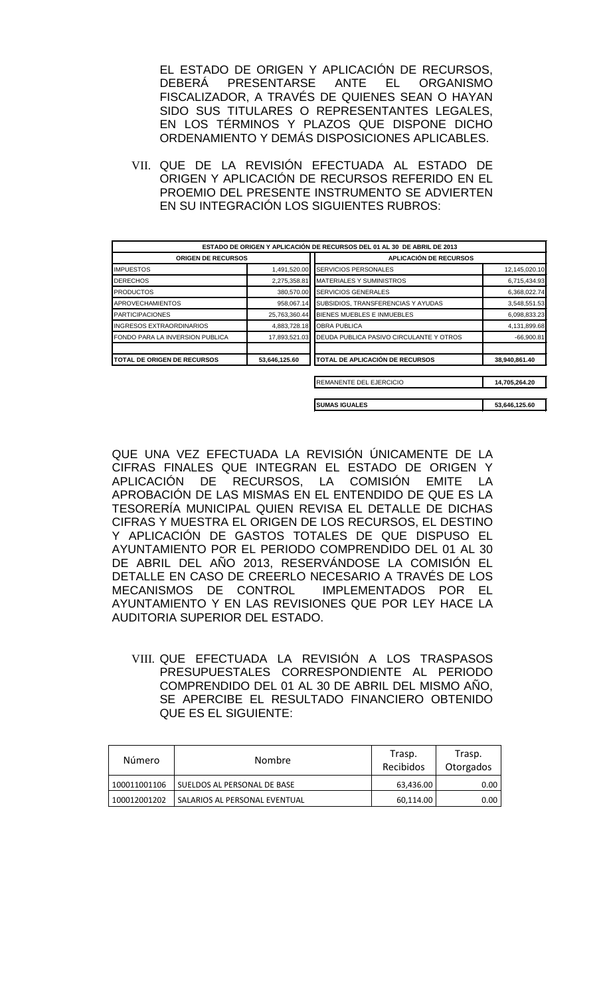EL ESTADO DE ORIGEN Y APLICACIÓN DE RECURSOS,<br>DEBERÁ PRESENTARSE ANTE EL ORGANISMO DEBERÁ PRESENTARSE ANTE EL ORGANISMO FISCALIZADOR, A TRAVÉS DE QUIENES SEAN O HAYAN SIDO SUS TITULARES O REPRESENTANTES LEGALES, EN LOS TÉRMINOS Y PLAZOS QUE DISPONE DICHO ORDENAMIENTO Y DEMÁS DISPOSICIONES APLICABLES.

VII. QUE DE LA REVISIÓN EFECTUADA AL ESTADO DE ORIGEN Y APLICACIÓN DE RECURSOS REFERIDO EN EL PROEMIO DEL PRESENTE INSTRUMENTO SE ADVIERTEN EN SU INTEGRACIÓN LOS SIGUIENTES RUBROS:

|                                    |               | ESTADO DE ORIGEN Y APLICACIÓN DE RECURSOS DEL 01 AL 30 DE ABRIL DE 2013 |               |
|------------------------------------|---------------|-------------------------------------------------------------------------|---------------|
| <b>ORIGEN DE RECURSOS</b>          |               | <b>APLICACIÓN DE RECURSOS</b>                                           |               |
| <b>IMPUESTOS</b>                   | 1,491,520.00  | <b>SERVICIOS PERSONALES</b>                                             | 12,145,020.10 |
| <b>DERECHOS</b>                    | 2,275,358.81  | <b>IMATERIALES Y SUMINISTROS</b>                                        | 6,715,434.93  |
| <b>PRODUCTOS</b>                   | 380,570.00    | <b>SERVICIOS GENERALES</b>                                              | 6,368,022.74  |
| <b>APROVECHAMIENTOS</b>            | 958,067.14    | SUBSIDIOS, TRANSFERENCIAS Y AYUDAS                                      | 3,548,551.53  |
| <b>PARTICIPACIONES</b>             | 25,763,360.44 | BIENES MUEBLES E INMUEBLES                                              | 6,098,833.23  |
| <b>INGRESOS EXTRAORDINARIOS</b>    | 4,883,728.18  | <b>OBRA PUBLICA</b>                                                     | 4,131,899.68  |
| FONDO PARA LA INVERSION PUBLICA    | 17,893,521.03 | DEUDA PUBLICA PASIVO CIRCULANTE Y OTROS                                 | $-66,900.81$  |
| <b>TOTAL DE ORIGEN DE RECURSOS</b> | 53,646,125.60 | TOTAL DE APLICACIÓN DE RECURSOS                                         | 38,940,861.40 |
|                                    |               | REMANENTE DEL EJERCICIO                                                 | 14,705,264.20 |
|                                    |               |                                                                         |               |
|                                    |               | <b>SUMAS IGUALES</b>                                                    | 53,646,125.60 |

QUE UNA VEZ EFECTUADA LA REVISIÓN ÚNICAMENTE DE LA CIFRAS FINALES QUE INTEGRAN EL ESTADO DE ORIGEN Y APLICACIÓN DE RECURSOS, LA COMISIÓN EMITE LA APROBACIÓN DE LAS MISMAS EN EL ENTENDIDO DE QUE ES LA TESORERÍA MUNICIPAL QUIEN REVISA EL DETALLE DE DICHAS CIFRAS Y MUESTRA EL ORIGEN DE LOS RECURSOS, EL DESTINO Y APLICACIÓN DE GASTOS TOTALES DE QUE DISPUSO EL AYUNTAMIENTO POR EL PERIODO COMPRENDIDO DEL 01 AL 30 DE ABRIL DEL AÑO 2013, RESERVÁNDOSE LA COMISIÓN EL DETALLE EN CASO DE CREERLO NECESARIO A TRAVÉS DE LOS MECANISMOS DE CONTROL IMPLEMENTADOS POR EL AYUNTAMIENTO Y EN LAS REVISIONES QUE POR LEY HACE LA AUDITORIA SUPERIOR DEL ESTADO.

VIII. QUE EFECTUADA LA REVISIÓN A LOS TRASPASOS PRESUPUESTALES CORRESPONDIENTE AL PERIODO COMPRENDIDO DEL 01 AL 30 DE ABRIL DEL MISMO AÑO, SE APERCIBE EL RESULTADO FINANCIERO OBTENIDO QUE ES EL SIGUIENTE:

| Número       | <b>Nombre</b>                 | Trasp.<br>Recibidos | Trasp.<br>Otorgados |
|--------------|-------------------------------|---------------------|---------------------|
| 100011001106 | SUELDOS AL PERSONAL DE BASE   | 63,436.00           | 0.00                |
| 100012001202 | SALARIOS AL PERSONAL EVENTUAL | 60,114.00           | 0.00                |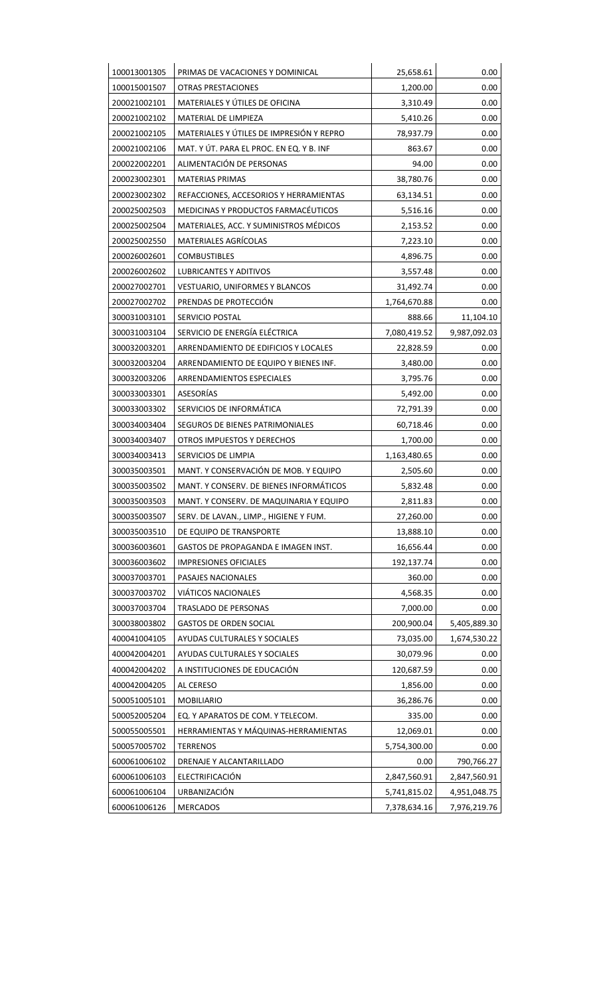| 100013001305 | PRIMAS DE VACACIONES Y DOMINICAL         | 25,658.61    | 0.00         |
|--------------|------------------------------------------|--------------|--------------|
| 100015001507 | OTRAS PRESTACIONES                       | 1,200.00     | 0.00         |
| 200021002101 | MATERIALES Y ÚTILES DE OFICINA           | 3,310.49     | 0.00         |
| 200021002102 | MATERIAL DE LIMPIEZA                     | 5,410.26     | 0.00         |
| 200021002105 | MATERIALES Y ÚTILES DE IMPRESIÓN Y REPRO | 78,937.79    | 0.00         |
| 200021002106 | MAT. Y ÚT. PARA EL PROC. EN EQ. Y B. INF | 863.67       | 0.00         |
| 200022002201 | ALIMENTACIÓN DE PERSONAS                 | 94.00        | 0.00         |
| 200023002301 | <b>MATERIAS PRIMAS</b>                   | 38,780.76    | 0.00         |
| 200023002302 | REFACCIONES, ACCESORIOS Y HERRAMIENTAS   | 63,134.51    | 0.00         |
| 200025002503 | MEDICINAS Y PRODUCTOS FARMACÉUTICOS      | 5,516.16     | 0.00         |
| 200025002504 | MATERIALES, ACC. Y SUMINISTROS MÉDICOS   | 2,153.52     | 0.00         |
| 200025002550 | MATERIALES AGRÍCOLAS                     | 7,223.10     | 0.00         |
| 200026002601 | <b>COMBUSTIBLES</b>                      | 4,896.75     | 0.00         |
| 200026002602 | <b>LUBRICANTES Y ADITIVOS</b>            | 3,557.48     | 0.00         |
| 200027002701 | VESTUARIO, UNIFORMES Y BLANCOS           | 31,492.74    | 0.00         |
| 200027002702 | PRENDAS DE PROTECCIÓN                    | 1,764,670.88 | 0.00         |
| 300031003101 | SERVICIO POSTAL                          | 888.66       | 11,104.10    |
| 300031003104 | SERVICIO DE ENERGÍA ELÉCTRICA            | 7,080,419.52 | 9,987,092.03 |
| 300032003201 | ARRENDAMIENTO DE EDIFICIOS Y LOCALES     | 22,828.59    | 0.00         |
| 300032003204 | ARRENDAMIENTO DE EQUIPO Y BIENES INF.    | 3,480.00     | 0.00         |
| 300032003206 | ARRENDAMIENTOS ESPECIALES                | 3,795.76     | 0.00         |
| 300033003301 | ASESORÍAS                                | 5,492.00     | 0.00         |
| 300033003302 | SERVICIOS DE INFORMÁTICA                 | 72,791.39    | 0.00         |
| 300034003404 | SEGUROS DE BIENES PATRIMONIALES          | 60,718.46    | 0.00         |
| 300034003407 | OTROS IMPUESTOS Y DERECHOS               | 1,700.00     | 0.00         |
| 300034003413 | SERVICIOS DE LIMPIA                      | 1,163,480.65 | 0.00         |
| 300035003501 | MANT. Y CONSERVACIÓN DE MOB. Y EQUIPO    | 2,505.60     | 0.00         |
| 300035003502 | MANT. Y CONSERV. DE BIENES INFORMÁTICOS  | 5,832.48     | 0.00         |
| 300035003503 | MANT. Y CONSERV. DE MAQUINARIA Y EQUIPO  | 2,811.83     | 0.00         |
| 300035003507 | SERV. DE LAVAN., LIMP., HIGIENE Y FUM.   | 27,260.00    | 0.00         |
| 300035003510 | DE EQUIPO DE TRANSPORTE                  | 13,888.10    | 0.00         |
| 300036003601 | GASTOS DE PROPAGANDA E IMAGEN INST.      | 16,656.44    | 0.00         |
| 300036003602 | <b>IMPRESIONES OFICIALES</b>             | 192,137.74   | 0.00         |
| 300037003701 | PASAJES NACIONALES                       | 360.00       | 0.00         |
| 300037003702 | VIÁTICOS NACIONALES                      | 4,568.35     | 0.00         |
| 300037003704 | TRASLADO DE PERSONAS                     | 7,000.00     | 0.00         |
| 300038003802 | <b>GASTOS DE ORDEN SOCIAL</b>            | 200,900.04   | 5,405,889.30 |
| 400041004105 | AYUDAS CULTURALES Y SOCIALES             | 73,035.00    | 1,674,530.22 |
| 400042004201 | AYUDAS CULTURALES Y SOCIALES             | 30,079.96    | 0.00         |
| 400042004202 | A INSTITUCIONES DE EDUCACIÓN             | 120,687.59   | 0.00         |
| 400042004205 | AL CERESO                                | 1,856.00     | 0.00         |
| 500051005101 | <b>MOBILIARIO</b>                        | 36,286.76    | 0.00         |
| 500052005204 | EQ. Y APARATOS DE COM. Y TELECOM.        | 335.00       | 0.00         |
| 500055005501 | HERRAMIENTAS Y MÁQUINAS-HERRAMIENTAS     | 12,069.01    | 0.00         |
| 500057005702 | <b>TERRENOS</b>                          | 5,754,300.00 | 0.00         |
| 600061006102 | DRENAJE Y ALCANTARILLADO                 | 0.00         | 790,766.27   |
| 600061006103 | ELECTRIFICACIÓN                          | 2,847,560.91 | 2,847,560.91 |
| 600061006104 | URBANIZACIÓN                             | 5,741,815.02 | 4,951,048.75 |
| 600061006126 | <b>MERCADOS</b>                          | 7,378,634.16 | 7,976,219.76 |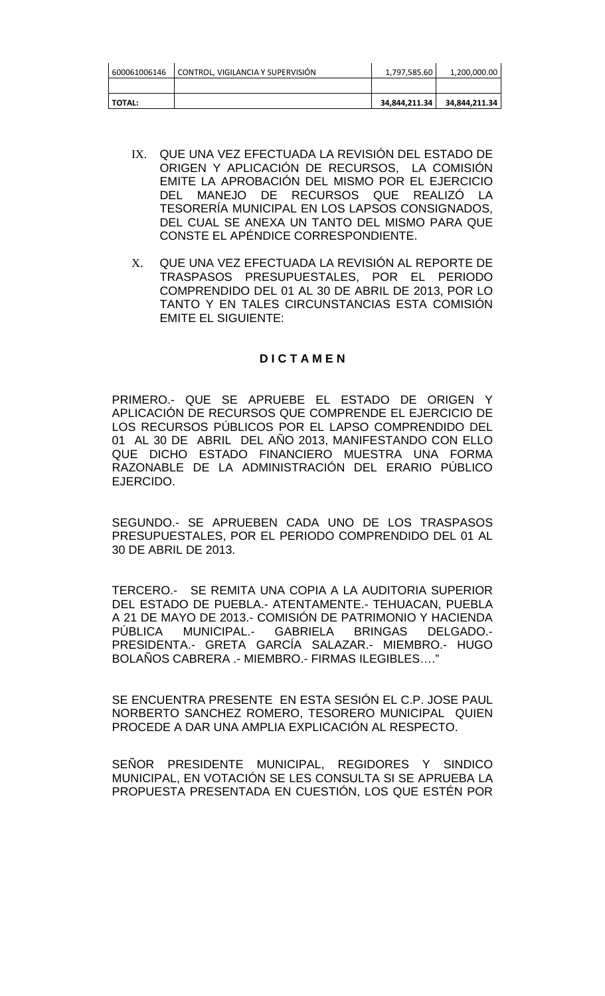| 600061006146  | CONTROL, VIGILANCIA Y SUPERVISIÓN | 1,797,585.60  | 1,200,000.00  |
|---------------|-----------------------------------|---------------|---------------|
|               |                                   |               |               |
| <b>TOTAL:</b> |                                   | 34,844,211.34 | 34,844,211.34 |

- IX. QUE UNA VEZ EFECTUADA LA REVISIÓN DEL ESTADO DE ORIGEN Y APLICACIÓN DE RECURSOS, LA COMISIÓN EMITE LA APROBACIÓN DEL MISMO POR EL EJERCICIO DEL MANEJO DE RECURSOS QUE REALIZÓ LA TESORERÍA MUNICIPAL EN LOS LAPSOS CONSIGNADOS, DEL CUAL SE ANEXA UN TANTO DEL MISMO PARA QUE CONSTE EL APÉNDICE CORRESPONDIENTE.
- X. QUE UNA VEZ EFECTUADA LA REVISIÓN AL REPORTE DE TRASPASOS PRESUPUESTALES, POR EL PERIODO COMPRENDIDO DEL 01 AL 30 DE ABRIL DE 2013, POR LO TANTO Y EN TALES CIRCUNSTANCIAS ESTA COMISIÓN EMITE EL SIGUIENTE:

## **D I C T A M E N**

PRIMERO.- QUE SE APRUEBE EL ESTADO DE ORIGEN Y APLICACIÓN DE RECURSOS QUE COMPRENDE EL EJERCICIO DE LOS RECURSOS PÚBLICOS POR EL LAPSO COMPRENDIDO DEL 01 AL 30 DE ABRIL DEL AÑO 2013, MANIFESTANDO CON ELLO QUE DICHO ESTADO FINANCIERO MUESTRA UNA FORMA RAZONABLE DE LA ADMINISTRACIÓN DEL ERARIO PÚBLICO EJERCIDO.

SEGUNDO.- SE APRUEBEN CADA UNO DE LOS TRASPASOS PRESUPUESTALES, POR EL PERIODO COMPRENDIDO DEL 01 AL 30 DE ABRIL DE 2013.

TERCERO.- SE REMITA UNA COPIA A LA AUDITORIA SUPERIOR DEL ESTADO DE PUEBLA.- ATENTAMENTE.- TEHUACAN, PUEBLA A 21 DE MAYO DE 2013.- COMISIÓN DE PATRIMONIO Y HACIENDA PÚBLICA MUNICIPAL.- GABRIELA BRINGAS DELGADO.- PRESIDENTA.- GRETA GARCÍA SALAZAR.- MIEMBRO.- HUGO BOLAÑOS CABRERA .- MIEMBRO.- FIRMAS ILEGIBLES…."

SE ENCUENTRA PRESENTE EN ESTA SESIÓN EL C.P. JOSE PAUL NORBERTO SANCHEZ ROMERO, TESORERO MUNICIPAL QUIEN PROCEDE A DAR UNA AMPLIA EXPLICACIÓN AL RESPECTO.

SEÑOR PRESIDENTE MUNICIPAL, REGIDORES Y SINDICO MUNICIPAL, EN VOTACIÓN SE LES CONSULTA SI SE APRUEBA LA PROPUESTA PRESENTADA EN CUESTIÓN, LOS QUE ESTÉN POR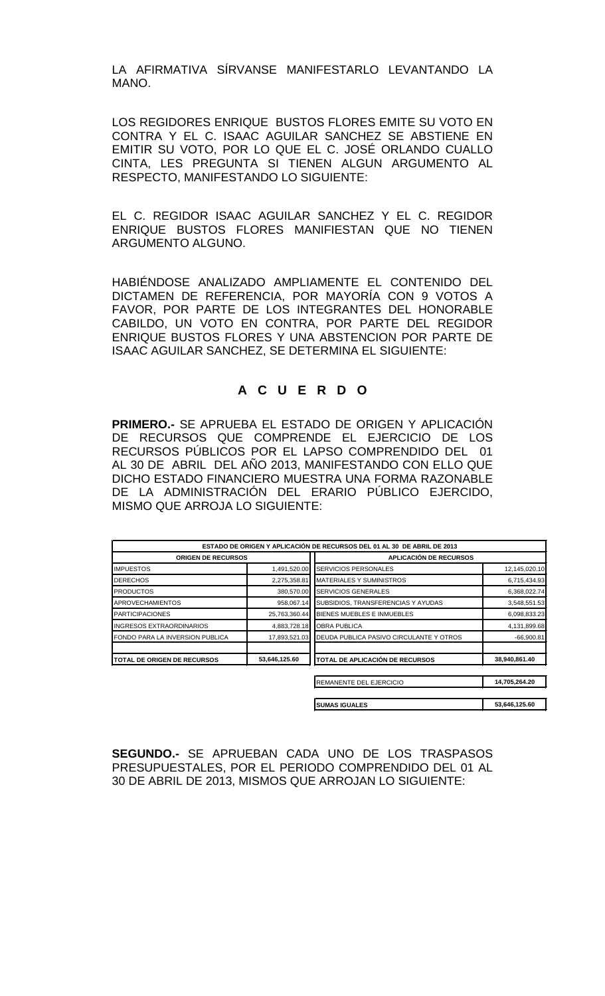LA AFIRMATIVA SÍRVANSE MANIFESTARLO LEVANTANDO LA MANO.

LOS REGIDORES ENRIQUE BUSTOS FLORES EMITE SU VOTO EN CONTRA Y EL C. ISAAC AGUILAR SANCHEZ SE ABSTIENE EN EMITIR SU VOTO, POR LO QUE EL C. JOSÉ ORLANDO CUALLO CINTA, LES PREGUNTA SI TIENEN ALGUN ARGUMENTO AL RESPECTO, MANIFESTANDO LO SIGUIENTE:

EL C. REGIDOR ISAAC AGUILAR SANCHEZ Y EL C. REGIDOR ENRIQUE BUSTOS FLORES MANIFIESTAN QUE NO TIENEN ARGUMENTO ALGUNO.

HABIÉNDOSE ANALIZADO AMPLIAMENTE EL CONTENIDO DEL DICTAMEN DE REFERENCIA, POR MAYORÍA CON 9 VOTOS A FAVOR, POR PARTE DE LOS INTEGRANTES DEL HONORABLE CABILDO, UN VOTO EN CONTRA, POR PARTE DEL REGIDOR ENRIQUE BUSTOS FLORES Y UNA ABSTENCION POR PARTE DE ISAAC AGUILAR SANCHEZ, SE DETERMINA EL SIGUIENTE:

# **A C U E R D O**

**PRIMERO.-** SE APRUEBA EL ESTADO DE ORIGEN Y APLICACIÓN DE RECURSOS QUE COMPRENDE EL EJERCICIO DE LOS RECURSOS PÚBLICOS POR EL LAPSO COMPRENDIDO DEL 01 AL 30 DE ABRIL DEL AÑO 2013, MANIFESTANDO CON ELLO QUE DICHO ESTADO FINANCIERO MUESTRA UNA FORMA RAZONABLE DE LA ADMINISTRACIÓN DEL ERARIO PÚBLICO EJERCIDO, MISMO QUE ARROJA LO SIGUIENTE:

| ESTADO DE ORIGEN Y APLICACIÓN DE RECURSOS DEL 01 AL 30 DE ABRIL DE 2013 |               |                                         |               |
|-------------------------------------------------------------------------|---------------|-----------------------------------------|---------------|
| <b>ORIGEN DE RECURSOS</b>                                               |               | APLICACIÓN DE RECURSOS                  |               |
| <b>IMPUESTOS</b>                                                        | 1,491,520.00  | <b>SERVICIOS PERSONALES</b>             | 12,145,020.10 |
| <b>DERECHOS</b>                                                         | 2,275,358.81  | <b>IMATERIALES Y SUMINISTROS</b>        | 6,715,434.93  |
| <b>PRODUCTOS</b>                                                        | 380,570.00    | <b>SERVICIOS GENERALES</b>              | 6,368,022.74  |
| <b>APROVECHAMIENTOS</b>                                                 | 958,067.14    | SUBSIDIOS, TRANSFERENCIAS Y AYUDAS      | 3,548,551.53  |
| <b>IPARTICIPACIONES</b>                                                 | 25,763,360.44 | BIENES MUEBLES E INMUEBLES              | 6,098,833.23  |
| <b>INGRESOS EXTRAORDINARIOS</b>                                         | 4,883,728.18  | <b>OBRA PUBLICA</b>                     | 4,131,899.68  |
| FONDO PARA LA INVERSION PUBLICA                                         | 17,893,521.03 | DEUDA PUBLICA PASIVO CIRCULANTE Y OTROS | $-66,900.81$  |
| <b>ITOTAL DE ORIGEN DE RECURSOS</b>                                     | 53,646,125.60 | TOTAL DE APLICACIÓN DE RECURSOS         | 38,940,861.40 |
|                                                                         |               | REMANENTE DEL EJERCICIO                 | 14,705,264.20 |

|                      | .             |
|----------------------|---------------|
|                      |               |
|                      |               |
| <b>SUMAS IGUALES</b> | 53,646,125.60 |
|                      |               |

**SEGUNDO.-** SE APRUEBAN CADA UNO DE LOS TRASPASOS PRESUPUESTALES, POR EL PERIODO COMPRENDIDO DEL 01 AL 30 DE ABRIL DE 2013, MISMOS QUE ARROJAN LO SIGUIENTE: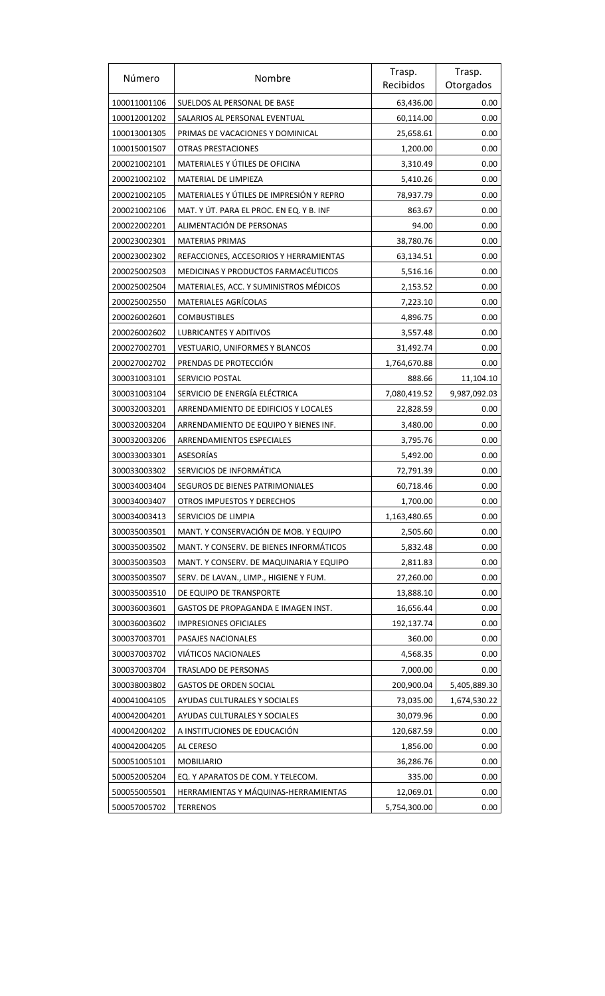| Número       | Nombre                                   | Trasp.       | Trasp.       |
|--------------|------------------------------------------|--------------|--------------|
|              |                                          | Recibidos    | Otorgados    |
| 100011001106 | SUELDOS AL PERSONAL DE BASE              | 63,436.00    | 0.00         |
| 100012001202 | SALARIOS AL PERSONAL EVENTUAL            | 60,114.00    | 0.00         |
| 100013001305 | PRIMAS DE VACACIONES Y DOMINICAL         | 25,658.61    | 0.00         |
| 100015001507 | OTRAS PRESTACIONES                       | 1,200.00     | 0.00         |
| 200021002101 | MATERIALES Y ÚTILES DE OFICINA           | 3,310.49     | 0.00         |
| 200021002102 | MATERIAL DE LIMPIEZA                     | 5,410.26     | 0.00         |
| 200021002105 | MATERIALES Y ÚTILES DE IMPRESIÓN Y REPRO | 78,937.79    | 0.00         |
| 200021002106 | MAT. Y ÚT. PARA EL PROC. EN EQ. Y B. INF | 863.67       | 0.00         |
| 200022002201 | ALIMENTACIÓN DE PERSONAS                 | 94.00        | 0.00         |
| 200023002301 | <b>MATERIAS PRIMAS</b>                   | 38,780.76    | 0.00         |
| 200023002302 | REFACCIONES, ACCESORIOS Y HERRAMIENTAS   | 63,134.51    | 0.00         |
| 200025002503 | MEDICINAS Y PRODUCTOS FARMACÉUTICOS      | 5,516.16     | 0.00         |
| 200025002504 | MATERIALES, ACC. Y SUMINISTROS MÉDICOS   | 2,153.52     | 0.00         |
| 200025002550 | <b>MATERIALES AGRÍCOLAS</b>              | 7,223.10     | 0.00         |
| 200026002601 | <b>COMBUSTIBLES</b>                      | 4,896.75     | 0.00         |
| 200026002602 | <b>LUBRICANTES Y ADITIVOS</b>            | 3,557.48     | 0.00         |
| 200027002701 | <b>VESTUARIO, UNIFORMES Y BLANCOS</b>    | 31,492.74    | 0.00         |
| 200027002702 | PRENDAS DE PROTECCIÓN                    | 1,764,670.88 | 0.00         |
| 300031003101 | SERVICIO POSTAL                          | 888.66       | 11,104.10    |
| 300031003104 | SERVICIO DE ENERGÍA ELÉCTRICA            | 7,080,419.52 | 9,987,092.03 |
| 300032003201 | ARRENDAMIENTO DE EDIFICIOS Y LOCALES     | 22,828.59    | 0.00         |
| 300032003204 | ARRENDAMIENTO DE EQUIPO Y BIENES INF.    | 3,480.00     | 0.00         |
| 300032003206 | ARRENDAMIENTOS ESPECIALES                | 3,795.76     | 0.00         |
| 300033003301 | ASESORÍAS                                | 5,492.00     | 0.00         |
| 300033003302 | SERVICIOS DE INFORMÁTICA                 | 72,791.39    | 0.00         |
| 300034003404 | SEGUROS DE BIENES PATRIMONIALES          | 60,718.46    | 0.00         |
| 300034003407 | OTROS IMPUESTOS Y DERECHOS               | 1,700.00     | 0.00         |
| 300034003413 | SERVICIOS DE LIMPIA                      | 1,163,480.65 | 0.00         |
| 300035003501 | MANT. Y CONSERVACIÓN DE MOB. Y EQUIPO    | 2,505.60     | 0.00         |
| 300035003502 | MANT. Y CONSERV. DE BIENES INFORMÁTICOS  | 5,832.48     | 0.00         |
| 300035003503 | MANT. Y CONSERV. DE MAQUINARIA Y EQUIPO  | 2,811.83     | 0.00         |
| 300035003507 | SERV. DE LAVAN., LIMP., HIGIENE Y FUM.   | 27,260.00    | 0.00         |
| 300035003510 | DE EQUIPO DE TRANSPORTE                  | 13,888.10    | 0.00         |
| 300036003601 | GASTOS DE PROPAGANDA E IMAGEN INST.      | 16,656.44    | 0.00         |
| 300036003602 | <b>IMPRESIONES OFICIALES</b>             | 192,137.74   | 0.00         |
| 300037003701 | PASAJES NACIONALES                       | 360.00       | 0.00         |
| 300037003702 | VIÁTICOS NACIONALES                      | 4,568.35     | 0.00         |
| 300037003704 | TRASLADO DE PERSONAS                     | 7,000.00     | 0.00         |
| 300038003802 | <b>GASTOS DE ORDEN SOCIAL</b>            | 200,900.04   | 5,405,889.30 |
| 400041004105 | AYUDAS CULTURALES Y SOCIALES             | 73,035.00    | 1,674,530.22 |
| 400042004201 | AYUDAS CULTURALES Y SOCIALES             | 30,079.96    | 0.00         |
| 400042004202 | A INSTITUCIONES DE EDUCACIÓN             | 120,687.59   | 0.00         |
| 400042004205 | AL CERESO                                | 1,856.00     | 0.00         |
| 500051005101 | <b>MOBILIARIO</b>                        | 36,286.76    | 0.00         |
| 500052005204 | EQ. Y APARATOS DE COM. Y TELECOM.        | 335.00       | 0.00         |
| 500055005501 | HERRAMIENTAS Y MÁQUINAS-HERRAMIENTAS     | 12,069.01    | 0.00         |
| 500057005702 | <b>TERRENOS</b>                          | 5,754,300.00 | 0.00         |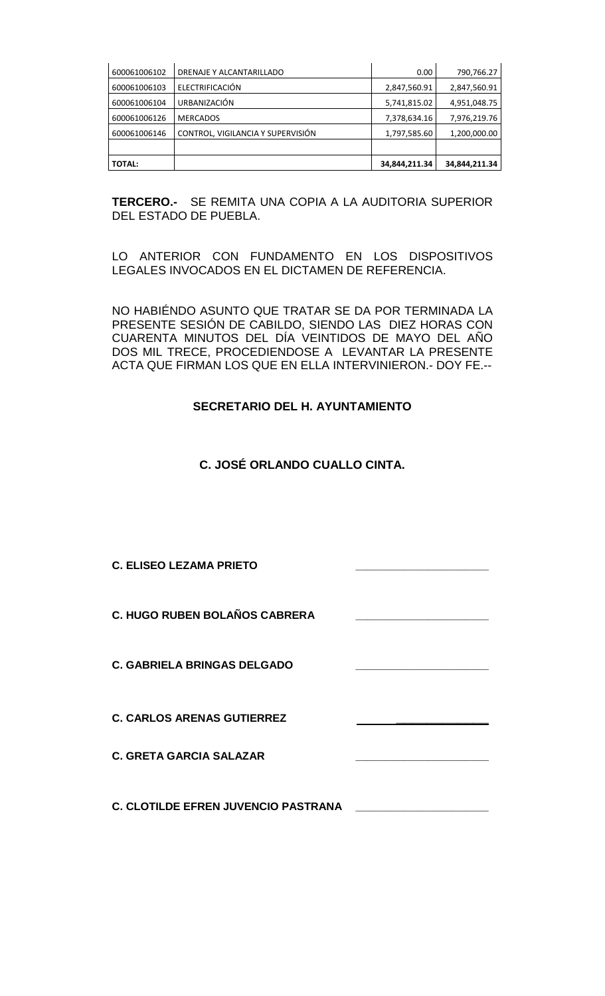| 600061006102  | DRENAJE Y ALCANTARILLADO          | 0.00          | 790,766.27    |
|---------------|-----------------------------------|---------------|---------------|
| 600061006103  | ELECTRIFICACIÓN                   | 2,847,560.91  | 2,847,560.91  |
| 600061006104  | URBANIZACIÓN                      | 5,741,815.02  | 4,951,048.75  |
| 600061006126  | <b>MERCADOS</b>                   | 7,378,634.16  | 7,976,219.76  |
| 600061006146  | CONTROL, VIGILANCIA Y SUPERVISIÓN | 1,797,585.60  | 1,200,000.00  |
|               |                                   |               |               |
| <b>TOTAL:</b> |                                   | 34,844,211.34 | 34,844,211.34 |

**TERCERO.-** SE REMITA UNA COPIA A LA AUDITORIA SUPERIOR DEL ESTADO DE PUEBLA.

LO ANTERIOR CON FUNDAMENTO EN LOS DISPOSITIVOS LEGALES INVOCADOS EN EL DICTAMEN DE REFERENCIA.

NO HABIÉNDO ASUNTO QUE TRATAR SE DA POR TERMINADA LA PRESENTE SESIÓN DE CABILDO, SIENDO LAS DIEZ HORAS CON CUARENTA MINUTOS DEL DÍA VEINTIDOS DE MAYO DEL AÑO DOS MIL TRECE, PROCEDIENDOSE A LEVANTAR LA PRESENTE ACTA QUE FIRMAN LOS QUE EN ELLA INTERVINIERON.- DOY FE.--

# **SECRETARIO DEL H. AYUNTAMIENTO**

# **C. JOSÉ ORLANDO CUALLO CINTA.**

**C. ELISEO LEZAMA PRIETO \_\_\_\_\_\_\_\_\_\_\_\_\_\_\_\_\_\_\_\_\_\_ C. HUGO RUBEN BOLAÑOS CABRERA \_\_\_\_\_\_\_\_\_\_\_\_\_\_\_\_\_\_\_\_\_\_ C. GABRIELA BRINGAS DELGADO C. CARLOS ARENAS GUTIERREZ \_\_\_\_\_\_\_\_\_\_\_\_ C. GRETA GARCIA SALAZAR \_\_\_\_\_\_\_\_\_\_\_\_\_\_\_\_\_\_\_\_\_\_ C. CLOTILDE EFREN JUVENCIO PASTRANA \_\_\_\_\_\_\_\_\_\_\_\_\_\_\_\_\_\_\_\_\_\_**